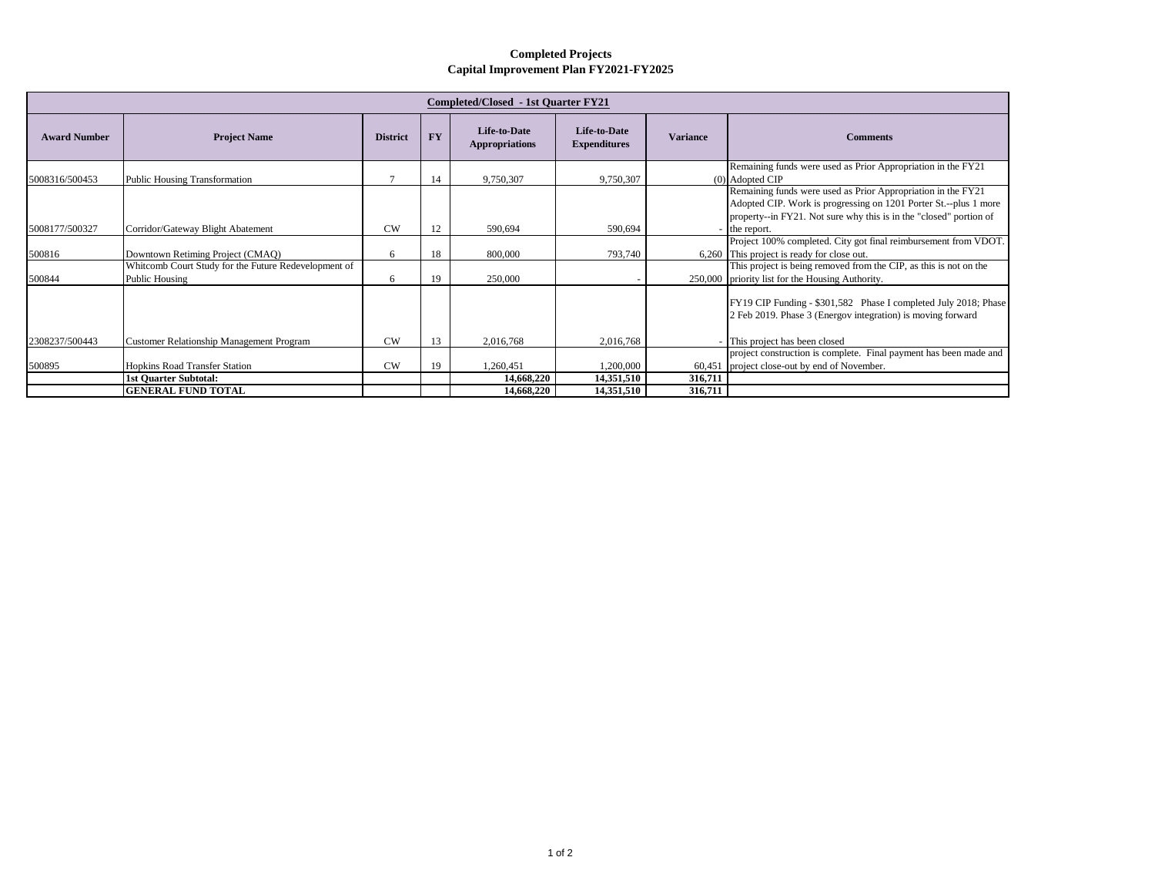## **Completed Projects Capital Improvement Plan FY2021-FY2025**

| Completed/Closed - 1st Ouarter FY21 |                                                                        |                 |           |                                              |                                            |                 |                                                                                                                                                                                                                       |  |  |  |  |
|-------------------------------------|------------------------------------------------------------------------|-----------------|-----------|----------------------------------------------|--------------------------------------------|-----------------|-----------------------------------------------------------------------------------------------------------------------------------------------------------------------------------------------------------------------|--|--|--|--|
| <b>Award Number</b>                 | <b>Project Name</b>                                                    | <b>District</b> | <b>FY</b> | <b>Life-to-Date</b><br><b>Appropriations</b> | <b>Life-to-Date</b><br><b>Expenditures</b> | <b>Variance</b> | <b>Comments</b>                                                                                                                                                                                                       |  |  |  |  |
| 5008316/500453                      | <b>Public Housing Transformation</b>                                   |                 | 14        | 9,750,307                                    | 9,750,307                                  |                 | Remaining funds were used as Prior Appropriation in the FY21<br>(0) Adopted CIP                                                                                                                                       |  |  |  |  |
| 5008177/500327                      | Corridor/Gateway Blight Abatement                                      | CW              | 12        | 590,694                                      | 590,694                                    |                 | Remaining funds were used as Prior Appropriation in the FY21<br>Adopted CIP. Work is progressing on 1201 Porter St.--plus 1 more<br>property--in FY21. Not sure why this is in the "closed" portion of<br>the report. |  |  |  |  |
|                                     |                                                                        |                 |           |                                              |                                            |                 | Project 100% completed. City got final reimbursement from VDOT.                                                                                                                                                       |  |  |  |  |
| 500816                              | Downtown Retiming Project (CMAO)                                       | 6               | 18        | 800,000                                      | 793,740                                    |                 | 6,260 This project is ready for close out.                                                                                                                                                                            |  |  |  |  |
| 500844                              | Whitcomb Court Study for the Future Redevelopment of<br>Public Housing | 6               | 19        | 250,000                                      |                                            |                 | This project is being removed from the CIP, as this is not on the<br>250,000 priority list for the Housing Authority.                                                                                                 |  |  |  |  |
|                                     |                                                                        |                 |           |                                              |                                            |                 | FY19 CIP Funding - \$301,582 Phase I completed July 2018; Phase<br>2 Feb 2019. Phase 3 (Energov integration) is moving forward                                                                                        |  |  |  |  |
| 2308237/500443                      | <b>Customer Relationship Management Program</b>                        | CW              | 13        | 2,016,768                                    | 2,016,768                                  |                 | - This project has been closed                                                                                                                                                                                        |  |  |  |  |
|                                     |                                                                        |                 |           |                                              |                                            |                 | project construction is complete. Final payment has been made and                                                                                                                                                     |  |  |  |  |
| 500895                              | <b>Hopkins Road Transfer Station</b>                                   | CW              | 19        | 1,260,451                                    | 1,200,000                                  | 60,451          | project close-out by end of November.                                                                                                                                                                                 |  |  |  |  |
|                                     | <b>1st Quarter Subtotal:</b>                                           |                 |           | 14,668,220                                   | 14,351,510                                 | 316,711         |                                                                                                                                                                                                                       |  |  |  |  |
|                                     | <b>GENERAL FUND TOTAL</b>                                              |                 |           | 14,668,220                                   | 14,351,510                                 | 316.711         |                                                                                                                                                                                                                       |  |  |  |  |